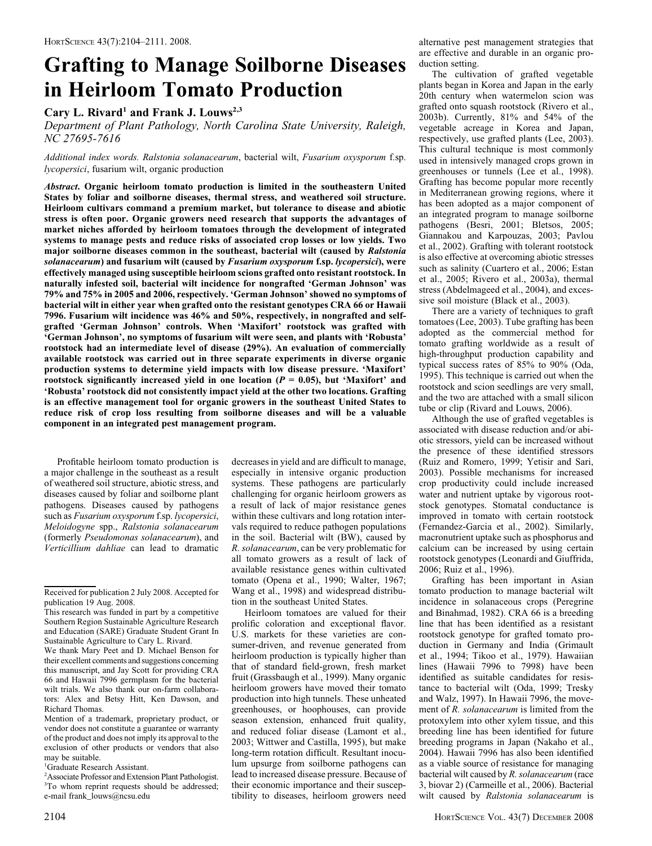# Grafting to Manage Soilborne Diseases in Heirloom Tomato Production

# Cary L. Rivard<sup>1</sup> and Frank J. Louws<sup>2,3</sup>

Department of Plant Pathology, North Carolina State University, Raleigh, NC 27695-7616

Additional index words. Ralstonia solanacearum, bacterial wilt, Fusarium oxysporum f.sp. lycopersici, fusarium wilt, organic production

Abstract. Organic heirloom tomato production is limited in the southeastern United States by foliar and soilborne diseases, thermal stress, and weathered soil structure. Heirloom cultivars command a premium market, but tolerance to disease and abiotic stress is often poor. Organic growers need research that supports the advantages of market niches afforded by heirloom tomatoes through the development of integrated systems to manage pests and reduce risks of associated crop losses or low yields. Two major soilborne diseases common in the southeast, bacterial wilt (caused by Ralstonia solanacearum) and fusarium wilt (caused by Fusarium oxysporum f.sp. lycopersici), were effectively managed using susceptible heirloom scions grafted onto resistant rootstock. In naturally infested soil, bacterial wilt incidence for nongrafted 'German Johnson' was 79% and 75% in 2005 and 2006, respectively. 'German Johnson' showed no symptoms of bacterial wilt in either year when grafted onto the resistant genotypes CRA 66 or Hawaii 7996. Fusarium wilt incidence was 46% and 50%, respectively, in nongrafted and selfgrafted 'German Johnson' controls. When 'Maxifort' rootstock was grafted with 'German Johnson', no symptoms of fusarium wilt were seen, and plants with 'Robusta' rootstock had an intermediate level of disease (29%). An evaluation of commercially available rootstock was carried out in three separate experiments in diverse organic production systems to determine yield impacts with low disease pressure. 'Maxifort' rootstock significantly increased yield in one location ( $P = 0.05$ ), but 'Maxifort' and 'Robusta' rootstock did not consistently impact yield at the other two locations. Grafting is an effective management tool for organic growers in the southeast United States to reduce risk of crop loss resulting from soilborne diseases and will be a valuable component in an integrated pest management program.

Profitable heirloom tomato production is a major challenge in the southeast as a result of weathered soil structure, abiotic stress, and diseases caused by foliar and soilborne plant pathogens. Diseases caused by pathogens such as Fusarium oxysporum f.sp. lycopersici, Meloidogyne spp., Ralstonia solanacearum (formerly Pseudomonas solanacearum), and Verticillium dahliae can lead to dramatic

Mention of a trademark, proprietary product, or vendor does not constitute a guarantee or warranty of the product and does not imply its approval to the exclusion of other products or vendors that also may be suitable.

1 Graduate Research Assistant.

2 Associate Professor and Extension Plant Pathologist. <sup>3</sup>To whom reprint requests should be addressed; e-mail frank\_louws@ncsu.edu

decreases in yield and are difficult to manage, especially in intensive organic production systems. These pathogens are particularly challenging for organic heirloom growers as a result of lack of major resistance genes within these cultivars and long rotation intervals required to reduce pathogen populations in the soil. Bacterial wilt (BW), caused by R. solanacearum, can be very problematic for all tomato growers as a result of lack of available resistance genes within cultivated tomato (Opena et al., 1990; Walter, 1967; Wang et al., 1998) and widespread distribution in the southeast United States.

Heirloom tomatoes are valued for their prolific coloration and exceptional flavor. U.S. markets for these varieties are consumer-driven, and revenue generated from heirloom production is typically higher than that of standard field-grown, fresh market fruit (Grassbaugh et al., 1999). Many organic heirloom growers have moved their tomato production into high tunnels. These unheated greenhouses, or hoophouses, can provide season extension, enhanced fruit quality, and reduced foliar disease (Lamont et al., 2003; Wittwer and Castilla, 1995), but make long-term rotation difficult. Resultant inoculum upsurge from soilborne pathogens can lead to increased disease pressure. Because of their economic importance and their susceptibility to diseases, heirloom growers need

alternative pest management strategies that are effective and durable in an organic production setting.

The cultivation of grafted vegetable plants began in Korea and Japan in the early 20th century when watermelon scion was grafted onto squash rootstock (Rivero et al., 2003b). Currently, 81% and 54% of the vegetable acreage in Korea and Japan, respectively, use grafted plants (Lee, 2003). This cultural technique is most commonly used in intensively managed crops grown in greenhouses or tunnels (Lee et al., 1998). Grafting has become popular more recently in Mediterranean growing regions, where it has been adopted as a major component of an integrated program to manage soilborne pathogens (Besri, 2001; Bletsos, 2005; Giannakou and Karpouzas, 2003; Pavlou et al., 2002). Grafting with tolerant rootstock is also effective at overcoming abiotic stresses such as salinity (Cuartero et al., 2006; Estan et al., 2005; Rivero et al., 2003a), thermal stress (Abdelmageed et al., 2004), and excessive soil moisture (Black et al., 2003).

There are a variety of techniques to graft tomatoes (Lee, 2003). Tube grafting has been adopted as the commercial method for tomato grafting worldwide as a result of high-throughput production capability and typical success rates of 85% to 90% (Oda, 1995). This technique is carried out when the rootstock and scion seedlings are very small, and the two are attached with a small silicon tube or clip (Rivard and Louws, 2006).

Although the use of grafted vegetables is associated with disease reduction and/or abiotic stressors, yield can be increased without the presence of these identified stressors (Ruiz and Romero, 1999; Yetisir and Sari, 2003). Possible mechanisms for increased crop productivity could include increased water and nutrient uptake by vigorous rootstock genotypes. Stomatal conductance is improved in tomato with certain rootstock (Fernandez-Garcia et al., 2002). Similarly, macronutrient uptake such as phosphorus and calcium can be increased by using certain rootstock genotypes (Leonardi and Giuffrida, 2006; Ruiz et al., 1996).

Grafting has been important in Asian tomato production to manage bacterial wilt incidence in solanaceous crops (Peregrine and Binahmad, 1982). CRA 66 is a breeding line that has been identified as a resistant rootstock genotype for grafted tomato production in Germany and India (Grimault et al., 1994; Tikoo et al., 1979). Hawaiian lines (Hawaii 7996 to 7998) have been identified as suitable candidates for resistance to bacterial wilt (Oda, 1999; Tresky and Walz, 1997). In Hawaii 7996, the movement of R. solanacearum is limited from the protoxylem into other xylem tissue, and this breeding line has been identified for future breeding programs in Japan (Nakaho et al., 2004). Hawaii 7996 has also been identified as a viable source of resistance for managing bacterial wilt caused by R. solanacearum (race 3, biovar 2) (Carmeille et al., 2006). Bacterial wilt caused by Ralstonia solanacearum is

Received for publication 2 July 2008. Accepted for publication 19 Aug. 2008.

This research was funded in part by a competitive Southern Region Sustainable Agriculture Research and Education (SARE) Graduate Student Grant In Sustainable Agriculture to Cary L. Rivard.

We thank Mary Peet and D. Michael Benson for their excellent comments and suggestions concerning this manuscript, and Jay Scott for providing CRA 66 and Hawaii 7996 germplasm for the bacterial wilt trials. We also thank our on-farm collaborators: Alex and Betsy Hitt, Ken Dawson, and Richard Thomas.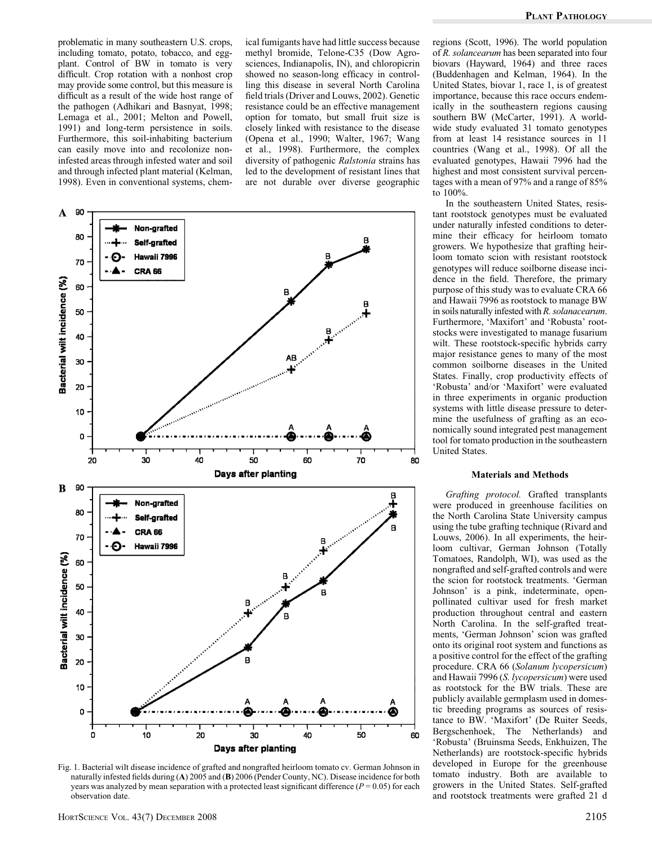problematic in many southeastern U.S. crops, including tomato, potato, tobacco, and eggplant. Control of BW in tomato is very difficult. Crop rotation with a nonhost crop may provide some control, but this measure is difficult as a result of the wide host range of the pathogen (Adhikari and Basnyat, 1998; Lemaga et al., 2001; Melton and Powell, 1991) and long-term persistence in soils. Furthermore, this soil-inhabiting bacterium can easily move into and recolonize noninfested areas through infested water and soil and through infected plant material (Kelman, 1998). Even in conventional systems, chemical fumigants have had little success because methyl bromide, Telone-C35 (Dow Agrosciences, Indianapolis, IN), and chloropicrin showed no season-long efficacy in controlling this disease in several North Carolina field trials (Driver and Louws, 2002). Genetic resistance could be an effective management option for tomato, but small fruit size is closely linked with resistance to the disease (Opena et al., 1990; Walter, 1967; Wang et al., 1998). Furthermore, the complex diversity of pathogenic Ralstonia strains has led to the development of resistant lines that are not durable over diverse geographic



Fig. 1. Bacterial wilt disease incidence of grafted and nongrafted heirloom tomato cv. German Johnson in naturally infested fields during (A) 2005 and (B) 2006 (Pender County, NC). Disease incidence for both years was analyzed by mean separation with a protected least significant difference ( $P = 0.05$ ) for each observation date.

regions (Scott, 1996). The world population of R. solancearum has been separated into four biovars (Hayward, 1964) and three races (Buddenhagen and Kelman, 1964). In the United States, biovar 1, race 1, is of greatest importance, because this race occurs endemically in the southeastern regions causing southern BW (McCarter, 1991). A worldwide study evaluated 31 tomato genotypes from at least 14 resistance sources in 11 countries (Wang et al., 1998). Of all the evaluated genotypes, Hawaii 7996 had the highest and most consistent survival percentages with a mean of 97% and a range of 85% to 100%.

In the southeastern United States, resistant rootstock genotypes must be evaluated under naturally infested conditions to determine their efficacy for heirloom tomato growers. We hypothesize that grafting heirloom tomato scion with resistant rootstock genotypes will reduce soilborne disease incidence in the field. Therefore, the primary purpose of this study was to evaluate CRA 66 and Hawaii 7996 as rootstock to manage BW in soils naturally infested with R. solanacearum. Furthermore, 'Maxifort' and 'Robusta' rootstocks were investigated to manage fusarium wilt. These rootstock-specific hybrids carry major resistance genes to many of the most common soilborne diseases in the United States. Finally, crop productivity effects of 'Robusta' and/or 'Maxifort' were evaluated in three experiments in organic production systems with little disease pressure to determine the usefulness of grafting as an economically sound integrated pest management tool for tomato production in the southeastern United States.

#### Materials and Methods

Grafting protocol. Grafted transplants were produced in greenhouse facilities on the North Carolina State University campus using the tube grafting technique (Rivard and Louws, 2006). In all experiments, the heirloom cultivar, German Johnson (Totally Tomatoes, Randolph, WI), was used as the nongrafted and self-grafted controls and were the scion for rootstock treatments. 'German Johnson' is a pink, indeterminate, openpollinated cultivar used for fresh market production throughout central and eastern North Carolina. In the self-grafted treatments, 'German Johnson' scion was grafted onto its original root system and functions as a positive control for the effect of the grafting procedure. CRA 66 (Solanum lycopersicum) and Hawaii 7996 (S. lycopersicum) were used as rootstock for the BW trials. These are publicly available germplasm used in domestic breeding programs as sources of resistance to BW. 'Maxifort' (De Ruiter Seeds, Bergschenhoek, The Netherlands) and 'Robusta' (Bruinsma Seeds, Enkhuizen, The Netherlands) are rootstock-specific hybrids developed in Europe for the greenhouse tomato industry. Both are available to growers in the United States. Self-grafted and rootstock treatments were grafted 21 d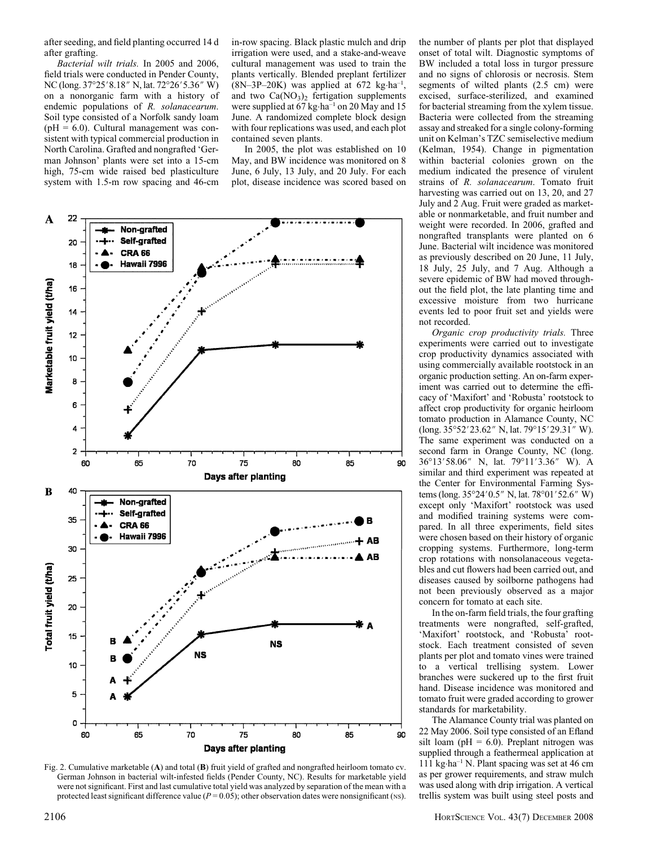after seeding, and field planting occurred 14 d after grafting.

Bacterial wilt trials. In 2005 and 2006, field trials were conducted in Pender County, NC (long. 37°25′ 8.18″ N, lat. 72°26′ 5.36″ W) on a nonorganic farm with a history of endemic populations of R. solanacearum. Soil type consisted of a Norfolk sandy loam  $(pH = 6.0)$ . Cultural management was consistent with typical commercial production in North Carolina. Grafted and nongrafted 'German Johnson' plants were set into a 15-cm high, 75-cm wide raised bed plasticulture system with 1.5-m row spacing and 46-cm

in-row spacing. Black plastic mulch and drip irrigation were used, and a stake-and-weave cultural management was used to train the plants vertically. Blended preplant fertilizer  $(8N-3P-20K)$  was applied at 672 kg·ha<sup>-1</sup>, and two  $Ca(NO<sub>3</sub>)<sub>2</sub>$  fertigation supplements were supplied at 67 kg·ha<sup>-1</sup> on 20 May and 15 June. A randomized complete block design with four replications was used, and each plot contained seven plants.

In 2005, the plot was established on 10 May, and BW incidence was monitored on 8 June, 6 July, 13 July, and 20 July. For each plot, disease incidence was scored based on



Fig. 2. Cumulative marketable (A) and total (B) fruit yield of grafted and nongrafted heirloom tomato cv. German Johnson in bacterial wilt-infested fields (Pender County, NC). Results for marketable yield were not significant. First and last cumulative total yield was analyzed by separation of the mean with a protected least significant difference value ( $P = 0.05$ ); other observation dates were nonsignificant (NS).

the number of plants per plot that displayed onset of total wilt. Diagnostic symptoms of BW included a total loss in turgor pressure and no signs of chlorosis or necrosis. Stem segments of wilted plants (2.5 cm) were excised, surface-sterilized, and examined for bacterial streaming from the xylem tissue. Bacteria were collected from the streaming assay and streaked for a single colony-forming unit on Kelman's TZC semiselective medium (Kelman, 1954). Change in pigmentation within bacterial colonies grown on the medium indicated the presence of virulent strains of R. solanacearum. Tomato fruit harvesting was carried out on 13, 20, and 27 July and 2 Aug. Fruit were graded as marketable or nonmarketable, and fruit number and weight were recorded. In 2006, grafted and nongrafted transplants were planted on 6 June. Bacterial wilt incidence was monitored as previously described on 20 June, 11 July, 18 July, 25 July, and 7 Aug. Although a severe epidemic of BW had moved throughout the field plot, the late planting time and excessive moisture from two hurricane events led to poor fruit set and yields were not recorded.

Organic crop productivity trials. Three experiments were carried out to investigate crop productivity dynamics associated with using commercially available rootstock in an organic production setting. An on-farm experiment was carried out to determine the efficacy of 'Maxifort' and 'Robusta' rootstock to affect crop productivity for organic heirloom tomato production in Alamance County, NC  $(\text{long. } 35^{\circ}52'23.62'' \text{ N}, \text{lat. } 79^{\circ}15'29.31'' \text{ W}).$ The same experiment was conducted on a second farm in Orange County, NC (long. 36°13'58.06" N, lat. 79°11'3.36" W). A similar and third experiment was repeated at the Center for Environmental Farming Systems (long.  $35^{\circ}24'0.5''$  N, lat.  $78^{\circ}01'52.6''$  W) except only 'Maxifort' rootstock was used and modified training systems were compared. In all three experiments, field sites were chosen based on their history of organic cropping systems. Furthermore, long-term crop rotations with nonsolanaceous vegetables and cut flowers had been carried out, and diseases caused by soilborne pathogens had not been previously observed as a major concern for tomato at each site.

In the on-farm field trials, the four grafting treatments were nongrafted, self-grafted, 'Maxifort' rootstock, and 'Robusta' rootstock. Each treatment consisted of seven plants per plot and tomato vines were trained to a vertical trellising system. Lower branches were suckered up to the first fruit hand. Disease incidence was monitored and tomato fruit were graded according to grower standards for marketability.

The Alamance County trial was planted on 22 May 2006. Soil type consisted of an Efland silt loam ( $pH = 6.0$ ). Preplant nitrogen was supplied through a feathermeal application at 111 kg-ha–1 N. Plant spacing was set at 46 cm as per grower requirements, and straw mulch was used along with drip irrigation. A vertical trellis system was built using steel posts and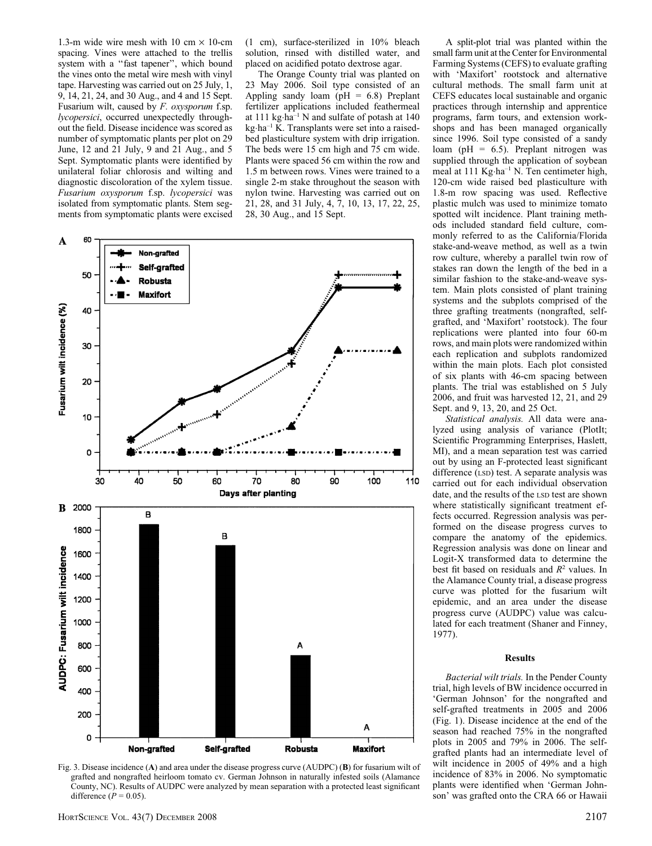1.3-m wide wire mesh with 10 cm  $\times$  10-cm spacing. Vines were attached to the trellis system with a ''fast tapener'', which bound the vines onto the metal wire mesh with vinyl tape. Harvesting was carried out on 25 July, 1, 9, 14, 21, 24, and 30 Aug., and 4 and 15 Sept. Fusarium wilt, caused by F. oxysporum f.sp. lycopersici, occurred unexpectedly throughout the field. Disease incidence was scored as number of symptomatic plants per plot on 29 June, 12 and 21 July, 9 and 21 Aug., and 5 Sept. Symptomatic plants were identified by unilateral foliar chlorosis and wilting and diagnostic discoloration of the xylem tissue. Fusarium oxysporum f.sp. lycopersici was isolated from symptomatic plants. Stem segments from symptomatic plants were excised (1 cm), surface-sterilized in 10% bleach solution, rinsed with distilled water, and placed on acidified potato dextrose agar.

The Orange County trial was planted on 23 May 2006. Soil type consisted of an Appling sandy loam ( $pH = 6.8$ ) Preplant fertilizer applications included feathermeal at 111 kg-ha–1 N and sulfate of potash at 140 kg-ha–1 K. Transplants were set into a raisedbed plasticulture system with drip irrigation. The beds were 15 cm high and 75 cm wide. Plants were spaced 56 cm within the row and 1.5 m between rows. Vines were trained to a single 2-m stake throughout the season with nylon twine. Harvesting was carried out on 21, 28, and 31 July, 4, 7, 10, 13, 17, 22, 25, 28, 30 Aug., and 15 Sept.



Fig. 3. Disease incidence (A) and area under the disease progress curve (AUDPC) (B) for fusarium wilt of grafted and nongrafted heirloom tomato cv. German Johnson in naturally infested soils (Alamance County, NC). Results of AUDPC were analyzed by mean separation with a protected least significant difference  $(P = 0.05)$ .

A split-plot trial was planted within the small farm unit at the Center for Environmental Farming Systems (CEFS) to evaluate grafting with 'Maxifort' rootstock and alternative cultural methods. The small farm unit at CEFS educates local sustainable and organic practices through internship and apprentice programs, farm tours, and extension workshops and has been managed organically since 1996. Soil type consisted of a sandy loam (pH =  $6.5$ ). Preplant nitrogen was supplied through the application of soybean meal at 111 Kg-ha–1 N. Ten centimeter high, 120-cm wide raised bed plasticulture with 1.8-m row spacing was used. Reflective plastic mulch was used to minimize tomato spotted wilt incidence. Plant training methods included standard field culture, commonly referred to as the California/Florida stake-and-weave method, as well as a twin row culture, whereby a parallel twin row of stakes ran down the length of the bed in a similar fashion to the stake-and-weave system. Main plots consisted of plant training systems and the subplots comprised of the three grafting treatments (nongrafted, selfgrafted, and 'Maxifort' rootstock). The four replications were planted into four 60-m rows, and main plots were randomized within each replication and subplots randomized within the main plots. Each plot consisted of six plants with 46-cm spacing between plants. The trial was established on 5 July 2006, and fruit was harvested 12, 21, and 29 Sept. and 9, 13, 20, and 25 Oct.

Statistical analysis. All data were analyzed using analysis of variance (PlotIt; Scientific Programming Enterprises, Haslett, MI), and a mean separation test was carried out by using an F-protected least significant difference (LSD) test. A separate analysis was carried out for each individual observation date, and the results of the LSD test are shown where statistically significant treatment effects occurred. Regression analysis was performed on the disease progress curves to compare the anatomy of the epidemics. Regression analysis was done on linear and Logit-X transformed data to determine the best fit based on residuals and  $R^2$  values. In the Alamance County trial, a disease progress curve was plotted for the fusarium wilt epidemic, and an area under the disease progress curve (AUDPC) value was calculated for each treatment (Shaner and Finney, 1977).

### Results

Bacterial wilt trials. In the Pender County trial, high levels of BW incidence occurred in 'German Johnson' for the nongrafted and self-grafted treatments in 2005 and 2006 (Fig. 1). Disease incidence at the end of the season had reached 75% in the nongrafted plots in 2005 and 79% in 2006. The selfgrafted plants had an intermediate level of wilt incidence in 2005 of 49% and a high incidence of 83% in 2006. No symptomatic plants were identified when 'German Johnson' was grafted onto the CRA 66 or Hawaii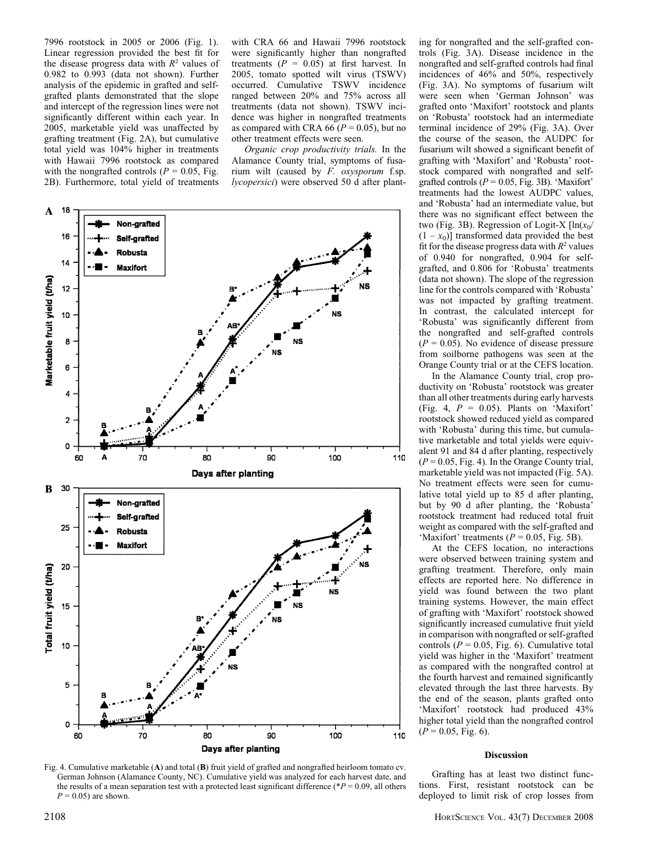7996 rootstock in 2005 or 2006 (Fig. 1). Linear regression provided the best fit for the disease progress data with  $R^2$  values of 0.982 to 0.993 (data not shown). Further analysis of the epidemic in grafted and selfgrafted plants demonstrated that the slope and intercept of the regression lines were not significantly different within each year. In 2005, marketable yield was unaffected by grafting treatment (Fig. 2A), but cumulative total yield was 104% higher in treatments with Hawaii 7996 rootstock as compared with the nongrafted controls ( $P = 0.05$ , Fig. 2B). Furthermore, total yield of treatments

with CRA 66 and Hawaii 7996 rootstock were significantly higher than nongrafted treatments ( $P = 0.05$ ) at first harvest. In 2005, tomato spotted wilt virus (TSWV) occurred. Cumulative TSWV incidence ranged between 20% and 75% across all treatments (data not shown). TSWV incidence was higher in nongrafted treatments as compared with CRA 66 ( $P = 0.05$ ), but no other treatment effects were seen.

Organic crop productivity trials. In the Alamance County trial, symptoms of fusarium wilt (caused by F. oxysporum f.sp. lycopersici) were observed 50 d after plant-



Fig. 4. Cumulative marketable (A) and total (B) fruit yield of grafted and nongrafted heirloom tomato cv. German Johnson (Alamance County, NC). Cumulative yield was analyzed for each harvest date, and the results of a mean separation test with a protected least significant difference (\* $P = 0.09$ , all others  $P = 0.05$  are shown.

ing for nongrafted and the self-grafted controls (Fig. 3A). Disease incidence in the nongrafted and self-grafted controls had final incidences of 46% and 50%, respectively (Fig. 3A). No symptoms of fusarium wilt were seen when 'German Johnson' was grafted onto 'Maxifort' rootstock and plants on 'Robusta' rootstock had an intermediate terminal incidence of 29% (Fig. 3A). Over the course of the season, the AUDPC for fusarium wilt showed a significant benefit of grafting with 'Maxifort' and 'Robusta' rootstock compared with nongrafted and selfgrafted controls ( $P = 0.05$ , Fig. 3B). 'Maxifort' treatments had the lowest AUDPC values, and 'Robusta' had an intermediate value, but there was no significant effect between the two (Fig. 3B). Regression of Logit-X  $[\ln(x_0/\sqrt{2}t)]$  $(1 - x<sub>0</sub>)$ ] transformed data provided the best fit for the disease progress data with  $R^2$  values of 0.940 for nongrafted, 0.904 for selfgrafted, and 0.806 for 'Robusta' treatments (data not shown). The slope of the regression line for the controls compared with 'Robusta' was not impacted by grafting treatment. In contrast, the calculated intercept for 'Robusta' was significantly different from the nongrafted and self-grafted controls  $(P = 0.05)$ . No evidence of disease pressure from soilborne pathogens was seen at the Orange County trial or at the CEFS location.

In the Alamance County trial, crop productivity on 'Robusta' rootstock was greater than all other treatments during early harvests (Fig. 4,  $P = 0.05$ ). Plants on 'Maxifort' rootstock showed reduced yield as compared with 'Robusta' during this time, but cumulative marketable and total yields were equivalent 91 and 84 d after planting, respectively  $(P = 0.05, Fig. 4)$ . In the Orange County trial, marketable yield was not impacted (Fig. 5A). No treatment effects were seen for cumulative total yield up to 85 d after planting, but by 90 d after planting, the 'Robusta' rootstock treatment had reduced total fruit weight as compared with the self-grafted and 'Maxifort' treatments  $(P = 0.05, Fig. 5B)$ .

At the CEFS location, no interactions were observed between training system and grafting treatment. Therefore, only main effects are reported here. No difference in yield was found between the two plant training systems. However, the main effect of grafting with 'Maxifort' rootstock showed significantly increased cumulative fruit yield in comparison with nongrafted or self-grafted controls ( $P = 0.05$ , Fig. 6). Cumulative total yield was higher in the 'Maxifort' treatment as compared with the nongrafted control at the fourth harvest and remained significantly elevated through the last three harvests. By the end of the season, plants grafted onto 'Maxifort' rootstock had produced 43% higher total yield than the nongrafted control  $(P = 0.05, Fig. 6).$ 

## Discussion

Grafting has at least two distinct functions. First, resistant rootstock can be deployed to limit risk of crop losses from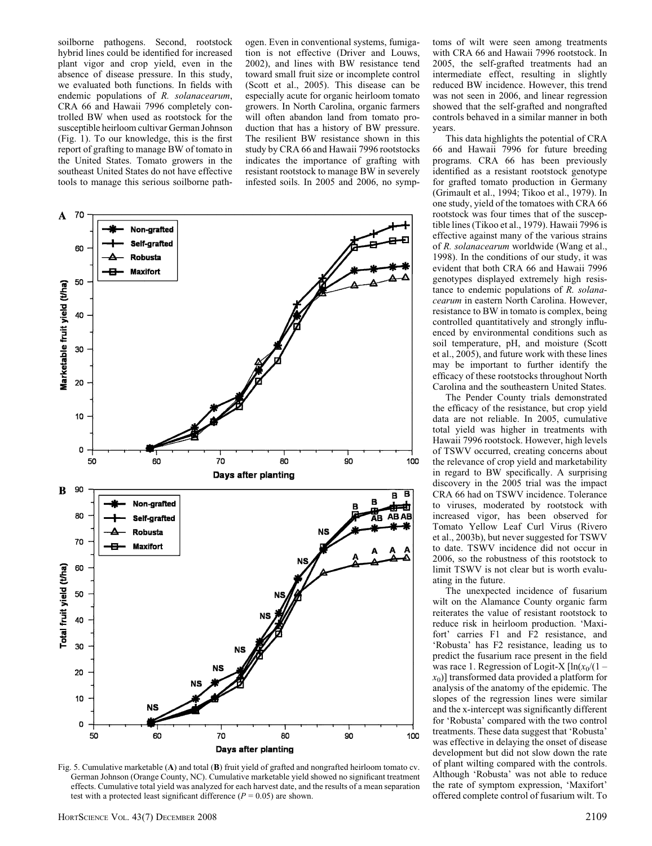soilborne pathogens. Second, rootstock hybrid lines could be identified for increased plant vigor and crop yield, even in the absence of disease pressure. In this study, we evaluated both functions. In fields with endemic populations of R. solanacearum, CRA 66 and Hawaii 7996 completely controlled BW when used as rootstock for the susceptible heirloom cultivar German Johnson (Fig. 1). To our knowledge, this is the first report of grafting to manage BW of tomato in the United States. Tomato growers in the southeast United States do not have effective tools to manage this serious soilborne pathogen. Even in conventional systems, fumigation is not effective (Driver and Louws, 2002), and lines with BW resistance tend toward small fruit size or incomplete control (Scott et al., 2005). This disease can be especially acute for organic heirloom tomato growers. In North Carolina, organic farmers will often abandon land from tomato production that has a history of BW pressure. The resilient BW resistance shown in this study by CRA 66 and Hawaii 7996 rootstocks indicates the importance of grafting with resistant rootstock to manage BW in severely infested soils. In 2005 and 2006, no symp-



Fig. 5. Cumulative marketable (A) and total (B) fruit yield of grafted and nongrafted heirloom tomato cv. German Johnson (Orange County, NC). Cumulative marketable yield showed no significant treatment effects. Cumulative total yield was analyzed for each harvest date, and the results of a mean separation test with a protected least significant difference ( $P = 0.05$ ) are shown.

toms of wilt were seen among treatments with CRA 66 and Hawaii 7996 rootstock. In 2005, the self-grafted treatments had an intermediate effect, resulting in slightly reduced BW incidence. However, this trend was not seen in 2006, and linear regression showed that the self-grafted and nongrafted controls behaved in a similar manner in both years.

This data highlights the potential of CRA 66 and Hawaii 7996 for future breeding programs. CRA 66 has been previously identified as a resistant rootstock genotype for grafted tomato production in Germany (Grimault et al., 1994; Tikoo et al., 1979). In one study, yield of the tomatoes with CRA 66 rootstock was four times that of the susceptible lines (Tikoo et al., 1979). Hawaii 7996 is effective against many of the various strains of R. solanacearum worldwide (Wang et al., 1998). In the conditions of our study, it was evident that both CRA 66 and Hawaii 7996 genotypes displayed extremely high resistance to endemic populations of R. solanacearum in eastern North Carolina. However, resistance to BW in tomato is complex, being controlled quantitatively and strongly influenced by environmental conditions such as soil temperature, pH, and moisture (Scott et al., 2005), and future work with these lines may be important to further identify the efficacy of these rootstocks throughout North Carolina and the southeastern United States.

The Pender County trials demonstrated the efficacy of the resistance, but crop yield data are not reliable. In 2005, cumulative total yield was higher in treatments with Hawaii 7996 rootstock. However, high levels of TSWV occurred, creating concerns about the relevance of crop yield and marketability in regard to BW specifically. A surprising discovery in the 2005 trial was the impact CRA 66 had on TSWV incidence. Tolerance to viruses, moderated by rootstock with increased vigor, has been observed for Tomato Yellow Leaf Curl Virus (Rivero et al., 2003b), but never suggested for TSWV to date. TSWV incidence did not occur in 2006, so the robustness of this rootstock to limit TSWV is not clear but is worth evaluating in the future.

The unexpected incidence of fusarium wilt on the Alamance County organic farm reiterates the value of resistant rootstock to reduce risk in heirloom production. 'Maxifort' carries F1 and F2 resistance, and 'Robusta' has F2 resistance, leading us to predict the fusarium race present in the field was race 1. Regression of Logit-X  $[\ln(x_0/(1$  $x_0$ ] transformed data provided a platform for analysis of the anatomy of the epidemic. The slopes of the regression lines were similar and the x-intercept was significantly different for 'Robusta' compared with the two control treatments. These data suggest that 'Robusta' was effective in delaying the onset of disease development but did not slow down the rate of plant wilting compared with the controls. Although 'Robusta' was not able to reduce the rate of symptom expression, 'Maxifort' offered complete control of fusarium wilt. To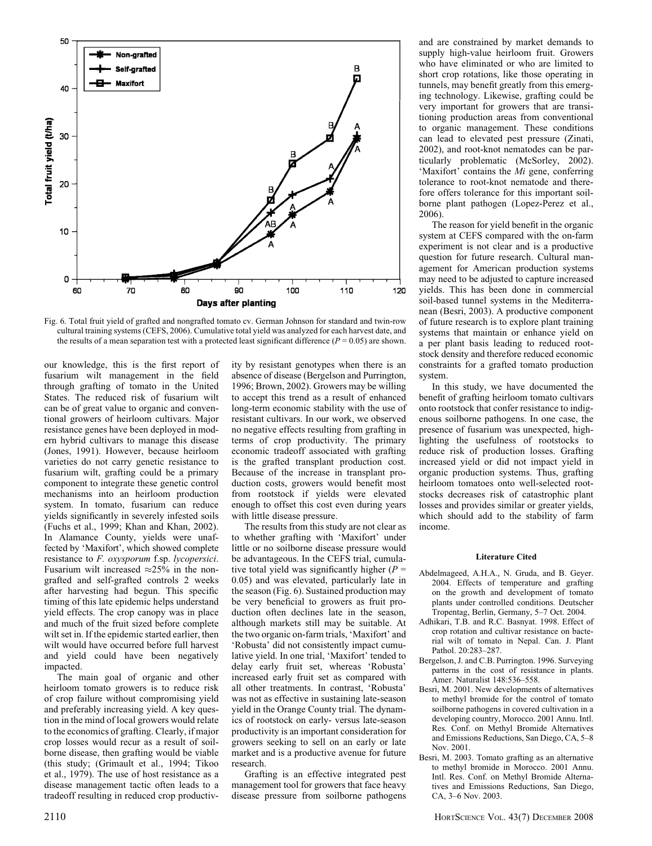

Fig. 6. Total fruit yield of grafted and nongrafted tomato cv. German Johnson for standard and twin-row cultural training systems (CEFS, 2006). Cumulative total yield was analyzed for each harvest date, and the results of a mean separation test with a protected least significant difference ( $P = 0.05$ ) are shown.

our knowledge, this is the first report of fusarium wilt management in the field through grafting of tomato in the United States. The reduced risk of fusarium wilt can be of great value to organic and conventional growers of heirloom cultivars. Major resistance genes have been deployed in modern hybrid cultivars to manage this disease (Jones, 1991). However, because heirloom varieties do not carry genetic resistance to fusarium wilt, grafting could be a primary component to integrate these genetic control mechanisms into an heirloom production system. In tomato, fusarium can reduce yields significantly in severely infested soils (Fuchs et al., 1999; Khan and Khan, 2002). In Alamance County, yields were unaffected by 'Maxifort', which showed complete resistance to F. oxysporum f.sp. lycopersici. Fusarium wilt increased  $\approx 25\%$  in the nongrafted and self-grafted controls 2 weeks after harvesting had begun. This specific timing of this late epidemic helps understand yield effects. The crop canopy was in place and much of the fruit sized before complete wilt set in. If the epidemic started earlier, then wilt would have occurred before full harvest and yield could have been negatively impacted.

The main goal of organic and other heirloom tomato growers is to reduce risk of crop failure without compromising yield and preferably increasing yield. A key question in the mind of local growers would relate to the economics of grafting. Clearly, if major crop losses would recur as a result of soilborne disease, then grafting would be viable (this study; (Grimault et al., 1994; Tikoo et al., 1979). The use of host resistance as a disease management tactic often leads to a tradeoff resulting in reduced crop productivity by resistant genotypes when there is an absence of disease (Bergelson and Purrington, 1996; Brown, 2002). Growers may be willing to accept this trend as a result of enhanced long-term economic stability with the use of resistant cultivars. In our work, we observed no negative effects resulting from grafting in terms of crop productivity. The primary economic tradeoff associated with grafting is the grafted transplant production cost. Because of the increase in transplant production costs, growers would benefit most from rootstock if yields were elevated enough to offset this cost even during years with little disease pressure.

The results from this study are not clear as to whether grafting with 'Maxifort' under little or no soilborne disease pressure would be advantageous. In the CEFS trial, cumulative total yield was significantly higher  $(P =$ 0.05) and was elevated, particularly late in the season (Fig. 6). Sustained production may be very beneficial to growers as fruit production often declines late in the season, although markets still may be suitable. At the two organic on-farm trials, 'Maxifort' and 'Robusta' did not consistently impact cumulative yield. In one trial, 'Maxifort' tended to delay early fruit set, whereas 'Robusta' increased early fruit set as compared with all other treatments. In contrast, 'Robusta' was not as effective in sustaining late-season yield in the Orange County trial. The dynamics of rootstock on early- versus late-season productivity is an important consideration for growers seeking to sell on an early or late market and is a productive avenue for future research.

Grafting is an effective integrated pest management tool for growers that face heavy disease pressure from soilborne pathogens and are constrained by market demands to supply high-value heirloom fruit. Growers who have eliminated or who are limited to short crop rotations, like those operating in tunnels, may benefit greatly from this emerging technology. Likewise, grafting could be very important for growers that are transitioning production areas from conventional to organic management. These conditions can lead to elevated pest pressure (Zinati, 2002), and root-knot nematodes can be particularly problematic (McSorley, 2002). 'Maxifort' contains the Mi gene, conferring tolerance to root-knot nematode and therefore offers tolerance for this important soilborne plant pathogen (Lopez-Perez et al., 2006).

The reason for yield benefit in the organic system at CEFS compared with the on-farm experiment is not clear and is a productive question for future research. Cultural management for American production systems may need to be adjusted to capture increased yields. This has been done in commercial soil-based tunnel systems in the Mediterranean (Besri, 2003). A productive component of future research is to explore plant training systems that maintain or enhance yield on a per plant basis leading to reduced rootstock density and therefore reduced economic constraints for a grafted tomato production system.

In this study, we have documented the benefit of grafting heirloom tomato cultivars onto rootstock that confer resistance to indigenous soilborne pathogens. In one case, the presence of fusarium was unexpected, highlighting the usefulness of rootstocks to reduce risk of production losses. Grafting increased yield or did not impact yield in organic production systems. Thus, grafting heirloom tomatoes onto well-selected rootstocks decreases risk of catastrophic plant losses and provides similar or greater yields, which should add to the stability of farm income.

#### Literature Cited

- Abdelmageed, A.H.A., N. Gruda, and B. Geyer. 2004. Effects of temperature and grafting on the growth and development of tomato plants under controlled conditions. Deutscher Tropentag, Berlin, Germany, 5–7 Oct. 2004.
- Adhikari, T.B. and R.C. Basnyat. 1998. Effect of crop rotation and cultivar resistance on bacterial wilt of tomato in Nepal. Can. J. Plant Pathol. 20:283–287.
- Bergelson, J. and C.B. Purrington. 1996. Surveying patterns in the cost of resistance in plants. Amer. Naturalist 148:536–558.
- Besri, M. 2001. New developments of alternatives to methyl bromide for the control of tomato soilborne pathogens in covered cultivation in a developing country, Morocco. 2001 Annu. Intl. Res. Conf. on Methyl Bromide Alternatives and Emissions Reductions, San Diego, CA, 5–8 Nov. 2001.
- Besri, M. 2003. Tomato grafting as an alternative to methyl bromide in Morocco. 2001 Annu. Intl. Res. Conf. on Methyl Bromide Alternatives and Emissions Reductions, San Diego, CA, 3–6 Nov. 2003.